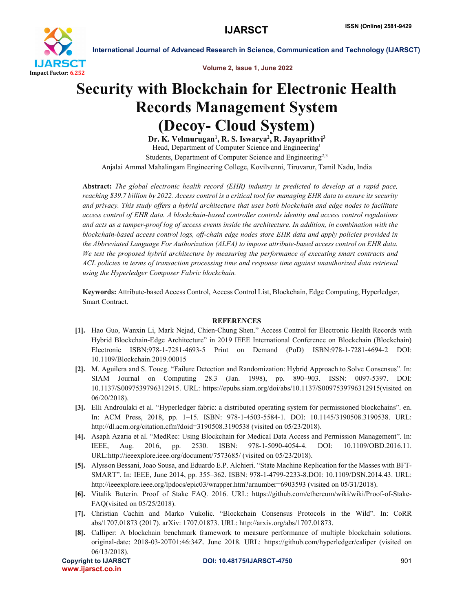

International Journal of Advanced Research in Science, Communication and Technology (IJARSCT)

Volume 2, Issue 1, June 2022

## Security with Blockchain for Electronic Health Records Management System (Decoy- Cloud System)

Dr. K. Velmurugan<sup>1</sup>, R. S. Iswarya<sup>2</sup>, R. Jayaprithvi<sup>3</sup> Head, Department of Computer Science and Engineering<sup>1</sup> Students, Department of Computer Science and Engineering<sup>2,3</sup> Anjalai Ammal Mahalingam Engineering College, Kovilvenni, Tiruvarur, Tamil Nadu, India

Abstract: *The global electronic health record (EHR) industry is predicted to develop at a rapid pace, reaching \$39.7 billion by 2022. Access control is a critical tool for managing EHR data to ensure its security and privacy. This study offers a hybrid architecture that uses both blockchain and edge nodes to facilitate access control of EHR data. A blockchain-based controller controls identity and access control regulations and acts as a tamper-proof log of access events inside the architecture. In addition, in combination with the blockchain-based access control logs, off-chain edge nodes store EHR data and apply policies provided in the Abbreviated Language For Authorization (ALFA) to impose attribute-based access control on EHR data. We test the proposed hybrid architecture by measuring the performance of executing smart contracts and ACL policies in terms of transaction processing time and response time against unauthorized data retrieval using the Hyperledger Composer Fabric blockchain.*

Keywords: Attribute-based Access Control, Access Control List, Blockchain, Edge Computing, Hyperledger, Smart Contract.

## **REFERENCES**

- [1]. Hao Guo, Wanxin Li, Mark Nejad, Chien-Chung Shen." Access Control for Electronic Health Records with Hybrid Blockchain-Edge Architecture" in 2019 IEEE International Conference on Blockchain (Blockchain) Electronic ISBN:978-1-7281-4693-5 Print on Demand (PoD) ISBN:978-1-7281-4694-2 DOI: 10.1109/Blockchain.2019.00015
- [2]. M. Aguilera and S. Toueg. "Failure Detection and Randomization: Hybrid Approach to Solve Consensus". In: SIAM Journal on Computing 28.3 (Jan. 1998), pp. 890–903. ISSN: 0097-5397. DOI: 10.1137/S0097539796312915. URL: https://epubs.siam.org/doi/abs/10.1137/S0097539796312915(visited on 06/20/2018).
- [3]. Elli Androulaki et al. "Hyperledger fabric: a distributed operating system for permissioned blockchains". en. In: ACM Press, 2018, pp. 1–15. ISBN: 978-1-4503-5584-1. DOI: 10.1145/3190508.3190538. URL: http://dl.acm.org/citation.cfm?doid=3190508.3190538 (visited on 05/23/2018).
- [4]. Asaph Azaria et al. "MedRec: Using Blockchain for Medical Data Access and Permission Management". In: IEEE, Aug. 2016, pp. 2530. ISBN: 978-1-5090-4054-4. DOI: 10.1109/OBD.2016.11. URL:http://ieeexplore.ieee.org/document/7573685/ (visited on 05/23/2018).
- [5]. Alysson Bessani, Joao Sousa, and Eduardo E.P. Alchieri. "State Machine Replication for the Masses with BFT-SMART". In: IEEE, June 2014, pp. 355–362. ISBN: 978-1-4799-2233-8.DOI: 10.1109/DSN.2014.43. URL: http://ieeexplore.ieee.org/lpdocs/epic03/wrapper.htm?arnumber=6903593 (visited on 05/31/2018).
- [6]. Vitalik Buterin. Proof of Stake FAQ. 2016. URL: https://github.com/ethereum/wiki/wiki/Proof-of-Stake-FAQ(visited on 05/25/2018).
- [7]. Christian Cachin and Marko Vukolic. "Blockchain Consensus Protocols in the Wild". In: CoRR abs/1707.01873 (2017). arXiv: 1707.01873. URL: http://arxiv.org/abs/1707.01873.
- [8]. Calliper: A blockchain benchmark framework to measure performance of multiple blockchain solutions. original-date: 2018-03-20T01:46:34Z. June 2018. URL: https://github.com/hyperledger/caliper (visited on 06/13/2018).